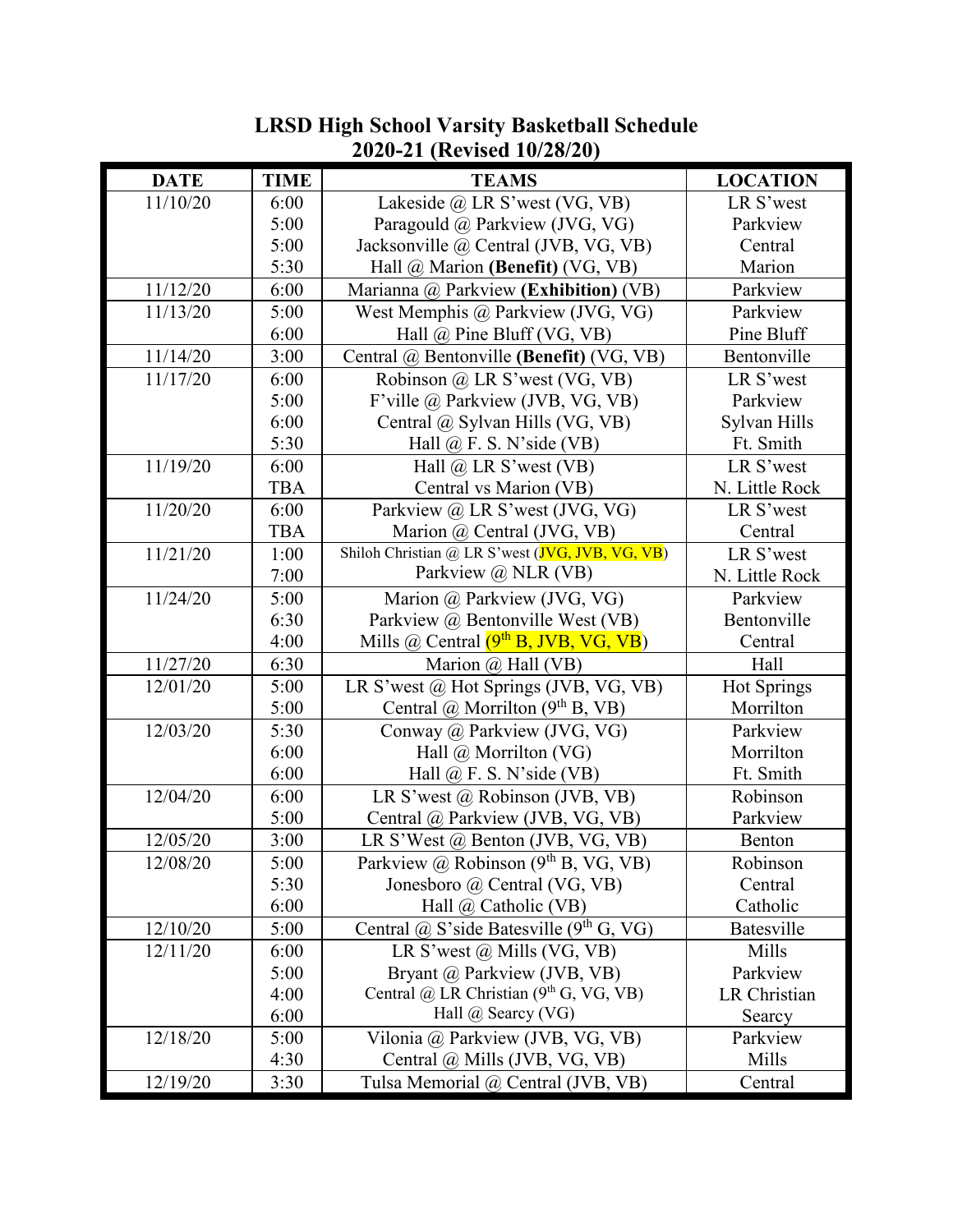|             |             | $\sim$                                             |                    |
|-------------|-------------|----------------------------------------------------|--------------------|
| <b>DATE</b> | <b>TIME</b> | <b>TEAMS</b>                                       | <b>LOCATION</b>    |
| 11/10/20    | 6:00        | Lakeside @ LR S'west (VG, VB)                      | LR S'west          |
|             | 5:00        | Paragould @ Parkview (JVG, VG)                     | Parkview           |
|             | 5:00        | Jacksonville @ Central (JVB, VG, VB)               | Central            |
|             | 5:30        | Hall @ Marion (Benefit) (VG, VB)                   | Marion             |
| 11/12/20    | 6:00        | Marianna @ Parkview (Exhibition) (VB)              | Parkview           |
| 11/13/20    | 5:00        | West Memphis @ Parkview (JVG, VG)                  | Parkview           |
|             | 6:00        | Hall @ Pine Bluff (VG, VB)                         | Pine Bluff         |
| 11/14/20    | 3:00        | Central @ Bentonville (Benefit) (VG, VB)           | Bentonville        |
| 11/17/20    | 6:00        | Robinson @ LR S'west (VG, VB)                      | LR S'west          |
|             | 5:00        | F'ville @ Parkview (JVB, VG, VB)                   | Parkview           |
|             | 6:00        | Central @ Sylvan Hills (VG, VB)                    | Sylvan Hills       |
|             | 5:30        | Hall $@$ F. S. N'side (VB)                         | Ft. Smith          |
| 11/19/20    | 6:00        | Hall $\omega$ LR S'west (VB)                       | LR S'west          |
|             | <b>TBA</b>  | Central vs Marion (VB)                             | N. Little Rock     |
| 11/20/20    | 6:00        | Parkview @ LR S'west (JVG, VG)                     | LR S'west          |
|             | <b>TBA</b>  | Marion @ Central (JVG, VB)                         | Central            |
| 11/21/20    | 1:00        | Shiloh Christian @ LR S'west (JVG, JVB, VG, VB)    | LR S'west          |
|             | 7:00        | Parkview @ NLR (VB)                                | N. Little Rock     |
| 11/24/20    | 5:00        | Marion @ Parkview (JVG, VG)                        | Parkview           |
|             | 6:30        | Parkview @ Bentonville West (VB)                   | Bentonville        |
|             | 4:00        | Mills $\omega$ Central $(9th B, IVB, VG, VB)$      | Central            |
| 11/27/20    | 6:30        | Marion $\omega$ Hall (VB)                          | Hall               |
| 12/01/20    | 5:00        | LR S'west @ Hot Springs (JVB, VG, VB)              | <b>Hot Springs</b> |
|             | 5:00        | Central $\omega$ Morrilton (9 <sup>th</sup> B, VB) | Morrilton          |
| 12/03/20    | 5:30        | Conway @ Parkview (JVG, VG)                        | Parkview           |
|             | 6:00        | Hall $\omega$ Morrilton (VG)                       | Morrilton          |
|             | 6:00        | Hall $@$ F. S. N'side (VB)                         | Ft. Smith          |
| 12/04/20    | 6:00        | LR S'west @ Robinson (JVB, VB)                     | Robinson           |
|             | 5:00        | Central @ Parkview (JVB, VG, VB)                   | Parkview           |
| 12/05/20    | 3:00        | LR S'West @ Benton (JVB, VG, VB)                   | Benton             |
| 12/08/20    | 5:00        | Parkview @ Robinson $(9th B, VG, VB)$              | Robinson           |
|             | 5:30        | Jonesboro @ Central (VG, VB)                       | Central            |
|             | 6:00        | Hall @ Catholic (VB)                               | Catholic           |
| 12/10/20    | 5:00        | Central @ S'side Batesville (9th G, VG)            | Batesville         |
| 12/11/20    | 6:00        | LR S'west $\omega$ Mills (VG, VB)                  | Mills              |
|             | 5:00        | Bryant @ Parkview (JVB, VB)                        | Parkview           |
|             | 4:00        | Central @ LR Christian $(9th G, VG, VB)$           | LR Christian       |
|             | 6:00        | Hall @ Searcy (VG)                                 | Searcy             |
| 12/18/20    | 5:00        | Vilonia @ Parkview (JVB, VG, VB)                   | Parkview           |
|             | 4:30        | Central @ Mills (JVB, VG, VB)                      | Mills              |
| 12/19/20    | 3:30        | Tulsa Memorial @ Central (JVB, VB)                 | Central            |

## **LRSD High School Varsity Basketball Schedule 2020-21 (Revised 10/28/20)**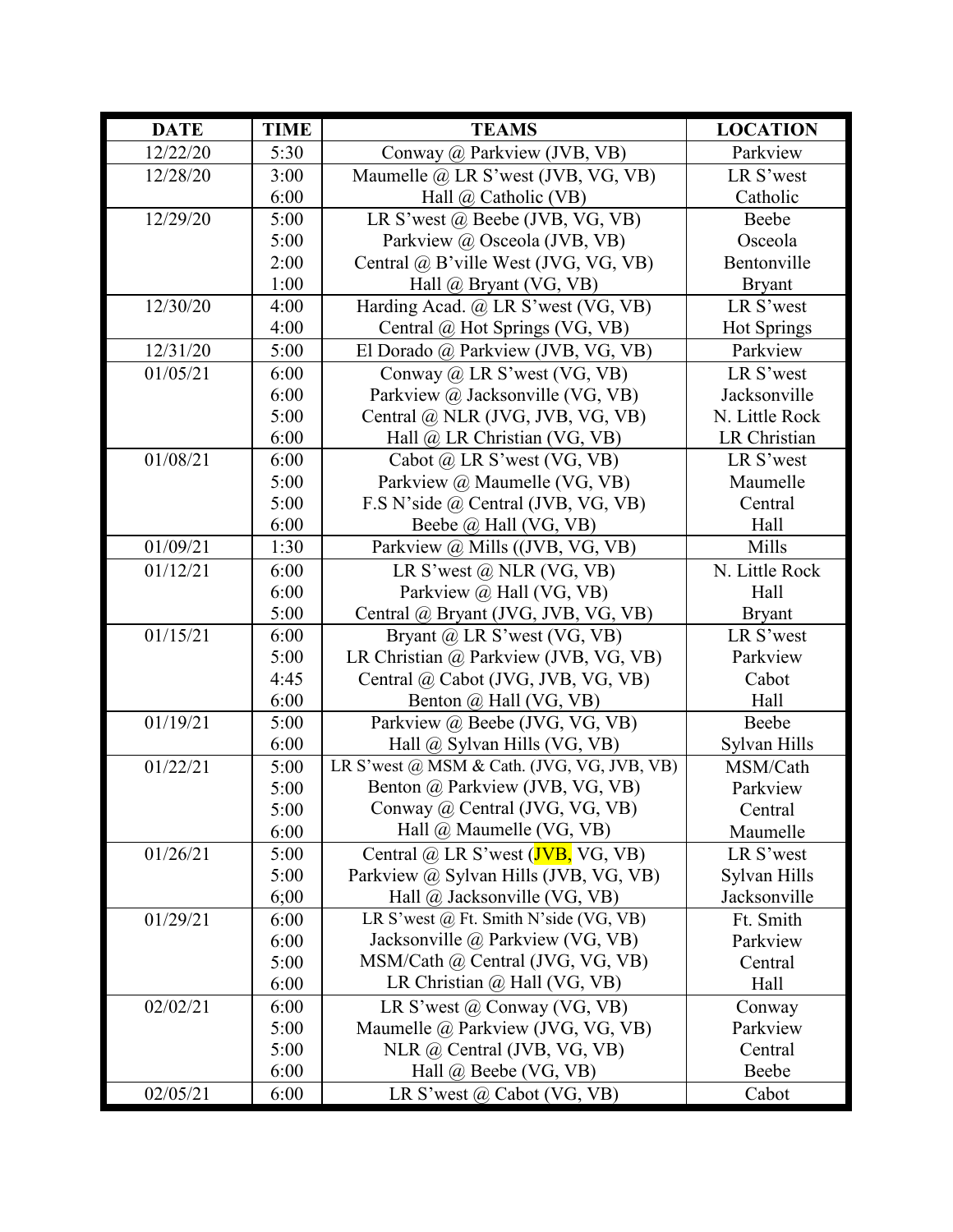| <b>DATE</b> | <b>TIME</b> | <b>TEAMS</b>                                      | <b>LOCATION</b> |
|-------------|-------------|---------------------------------------------------|-----------------|
| 12/22/20    | 5:30        | Conway @ Parkview (JVB, VB)                       | Parkview        |
| 12/28/20    | 3:00        | Maumelle @ LR S'west (JVB, VG, VB)                | LR S'west       |
|             | 6:00        | Hall $\omega$ Catholic (VB)                       | Catholic        |
| 12/29/20    | 5:00        | LR S'west @ Beebe (JVB, VG, VB)                   | Beebe           |
|             | 5:00        | Parkview @ Osceola (JVB, VB)                      | Osceola         |
|             | 2:00        | Central @ B'ville West (JVG, VG, VB)              | Bentonville     |
|             | 1:00        | Hall $@$ Bryant (VG, VB)                          | <b>Bryant</b>   |
| 12/30/20    | 4:00        | Harding Acad. @ LR S'west (VG, VB)                | LR S'west       |
|             | 4:00        | Central @ Hot Springs (VG, VB)                    | Hot Springs     |
| 12/31/20    | 5:00        | El Dorado @ Parkview (JVB, VG, VB)                | Parkview        |
| 01/05/21    | 6:00        | Conway $\omega$ LR S'west (VG, VB)                | LR S'west       |
|             | 6:00        | Parkview @ Jacksonville (VG, VB)                  | Jacksonville    |
|             | 5:00        | Central @ NLR (JVG, JVB, VG, VB)                  | N. Little Rock  |
|             | 6:00        | Hall @ LR Christian (VG, VB)                      | LR Christian    |
| 01/08/21    | 6:00        | Cabot @ LR S'west (VG, VB)                        | LR S'west       |
|             | 5:00        | Parkview @ Maumelle (VG, VB)                      | Maumelle        |
|             | 5:00        | F.S N'side @ Central (JVB, VG, VB)                | Central         |
|             | 6:00        | Beebe @ Hall (VG, VB)                             | Hall            |
| 01/09/21    | 1:30        | Parkview @ Mills ((JVB, VG, VB)                   | Mills           |
| 01/12/21    | 6:00        | LR S'west $\omega$ NLR (VG, VB)                   | N. Little Rock  |
|             | 6:00        | Parkview @ Hall (VG, VB)                          | Hall            |
|             | 5:00        | Central @ Bryant (JVG, JVB, VG, VB)               | <b>Bryant</b>   |
| 01/15/21    | 6:00        | Bryant $\omega$ LR S'west (VG, VB)                | LR S'west       |
|             | 5:00        | LR Christian @ Parkview (JVB, VG, VB)             | Parkview        |
|             | 4:45        | Central @ Cabot (JVG, JVB, VG, VB)                | Cabot           |
|             | 6:00        | Benton @ Hall (VG, VB)                            | Hall            |
| 01/19/21    | 5:00        | Parkview @ Beebe (JVG, VG, VB)                    | Beebe           |
|             | 6:00        | Hall @ Sylvan Hills (VG, VB)                      | Sylvan Hills    |
| 01/22/21    | 5:00        | LR S'west @ MSM & Cath. (JVG, VG, JVB, VB)        | MSM/Cath        |
|             | 5:00        | Benton @ Parkview (JVB, VG, VB)                   | Parkview        |
|             | 5:00        | Conway @ Central (JVG, VG, VB)                    | Central         |
|             | 6:00        | Hall @ Maumelle (VG, VB)                          | Maumelle        |
| 01/26/21    | 5:00        | Central $\omega$ LR S'west ( <b>JVB</b> , VG, VB) | LR S'west       |
|             | 5:00        | Parkview @ Sylvan Hills (JVB, VG, VB)             | Sylvan Hills    |
|             | 6;00        | Hall $\omega$ Jacksonville (VG, VB)               | Jacksonville    |
| 01/29/21    | 6:00        | LR S'west @ Ft. Smith N'side (VG, VB)             | Ft. Smith       |
|             | 6:00        | Jacksonville @ Parkview (VG, VB)                  | Parkview        |
|             | 5:00        | MSM/Cath @ Central (JVG, VG, VB)                  | Central         |
|             | 6:00        | LR Christian $\omega$ Hall (VG, VB)               | Hall            |
| 02/02/21    | 6:00        | LR S'west $\omega$ Conway (VG, VB)                | Conway          |
|             | 5:00        | Maumelle @ Parkview (JVG, VG, VB)                 | Parkview        |
|             | 5:00        | NLR @ Central (JVB, VG, VB)                       | Central         |
|             | 6:00        | Hall @ Beebe (VG, VB)                             | Beebe           |
| 02/05/21    | 6:00        | LR S'west $\omega$ Cabot (VG, VB)                 | Cabot           |